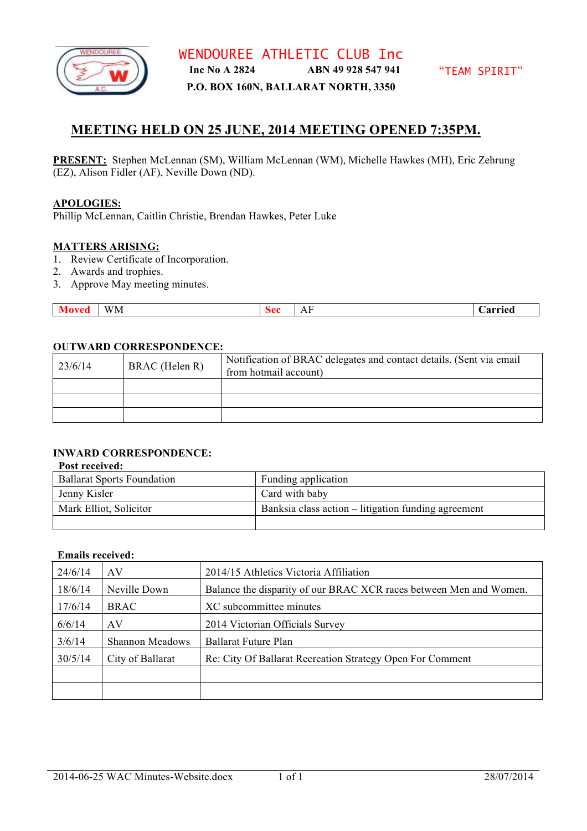

WENDOUREE ATHLETIC CLUB Inc **Inc No A 2824 ABN 49 928 547 941**

**P.O. BOX 160N, BALLARAT NORTH, 3350**

# **MEETING HELD ON 25 JUNE, 2014 MEETING OPENED 7:35PM.**

**PRESENT:** Stephen McLennan (SM), William McLennan (WM), Michelle Hawkes (MH), Eric Zehrung (EZ), Alison Fidler (AF), Neville Down (ND).

#### **APOLOGIES:**

Phillip McLennan, Caitlin Christie, Brendan Hawkes, Peter Luke

#### **MATTERS ARISING:**

- 1. Review Certificate of Incorporation.
- 2. Awards and trophies.
- 3. Approve May meeting minutes.

| $- - - -$<br>-<br>WM.<br>Arried<br>n<br>`^^<br>vcu<br>nu.<br>$\overline{11}$ |
|------------------------------------------------------------------------------|
|------------------------------------------------------------------------------|

## **OUTWARD CORRESPONDENCE:**

| 23/6/14 | BRAC (Helen R) | Notification of BRAC delegates and contact details. (Sent via email<br>from hotmail account) |
|---------|----------------|----------------------------------------------------------------------------------------------|
|         |                |                                                                                              |
|         |                |                                                                                              |
|         |                |                                                                                              |

# **INWARD CORRESPONDENCE:**

#### **Post received:**

| <b>Ballarat Sports Foundation</b> | Funding application                                 |
|-----------------------------------|-----------------------------------------------------|
| Jenny Kisler                      | Card with baby                                      |
| Mark Elliot, Solicitor            | Banksia class action – litigation funding agreement |
|                                   |                                                     |

#### **Emails received:**

| 24/6/14 | AV                     | 2014/15 Athletics Victoria Affiliation                             |
|---------|------------------------|--------------------------------------------------------------------|
| 18/6/14 | Neville Down           | Balance the disparity of our BRAC XCR races between Men and Women. |
| 17/6/14 | <b>BRAC</b>            | XC subcommittee minutes                                            |
| 6/6/14  | AV                     | 2014 Victorian Officials Survey                                    |
| 3/6/14  | <b>Shannon Meadows</b> | Ballarat Future Plan                                               |
| 30/5/14 | City of Ballarat       | Re: City Of Ballarat Recreation Strategy Open For Comment          |
|         |                        |                                                                    |
|         |                        |                                                                    |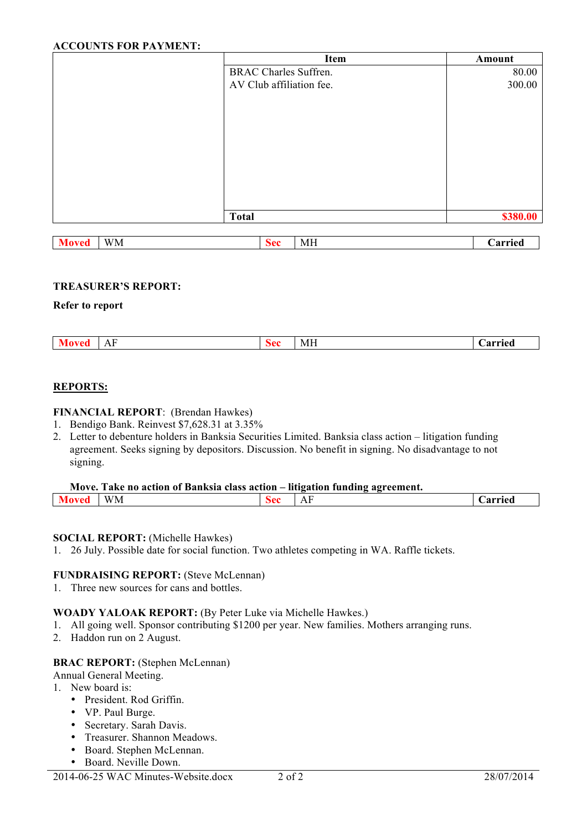## **ACCOUNTS FOR PAYMENT:**

|                    | <b>Item</b>                  | Amount   |
|--------------------|------------------------------|----------|
|                    | <b>BRAC Charles Suffren.</b> | 80.00    |
|                    | AV Club affiliation fee.     | 300.00   |
|                    |                              |          |
|                    |                              |          |
|                    |                              |          |
|                    |                              |          |
|                    |                              |          |
|                    |                              |          |
|                    |                              |          |
|                    |                              |          |
|                    |                              |          |
|                    | <b>Total</b>                 | \$380.00 |
|                    |                              |          |
| <b>Moved</b><br>WM | <b>Sec</b><br><b>MH</b>      | Carried  |

#### **TREASURER'S REPORT:**

#### **Refer to report**

| $\mathbf{a}$           |               |    |    |        |
|------------------------|---------------|----|----|--------|
| . .<br>$\overline{11}$ | $\rightarrow$ | Λ0 | MН | arried |

### **REPORTS:**

#### **FINANCIAL REPORT**: (Brendan Hawkes)

- 1. Bendigo Bank. Reinvest \$7,628.31 at 3.35%
- 2. Letter to debenture holders in Banksia Securities Limited. Banksia class action litigation funding agreement. Seeks signing by depositors. Discussion. No benefit in signing. No disadvantage to not signing.

| Move. Take no action of Banksia class action – litigation funding agreement. |  |
|------------------------------------------------------------------------------|--|
|                                                                              |  |

|  |  | $- - - -$<br>WM |  | $\sim$<br>$\overline{ }$<br>. | .<br>$ -$<br>ıcu |
|--|--|-----------------|--|-------------------------------|------------------|
|--|--|-----------------|--|-------------------------------|------------------|

#### **SOCIAL REPORT:** (Michelle Hawkes)

1. 26 July. Possible date for social function. Two athletes competing in WA. Raffle tickets.

### **FUNDRAISING REPORT:** (Steve McLennan)

1. Three new sources for cans and bottles.

#### **WOADY YALOAK REPORT:** (By Peter Luke via Michelle Hawkes.)

- 1. All going well. Sponsor contributing \$1200 per year. New families. Mothers arranging runs.
- 2. Haddon run on 2 August.

#### **BRAC REPORT:** (Stephen McLennan)

- Annual General Meeting.
- 1. New board is:
	- President. Rod Griffin.
	- VP. Paul Burge.
	- Secretary. Sarah Davis.
	- Treasurer. Shannon Meadows.
	- Board. Stephen McLennan.
	- Board. Neville Down.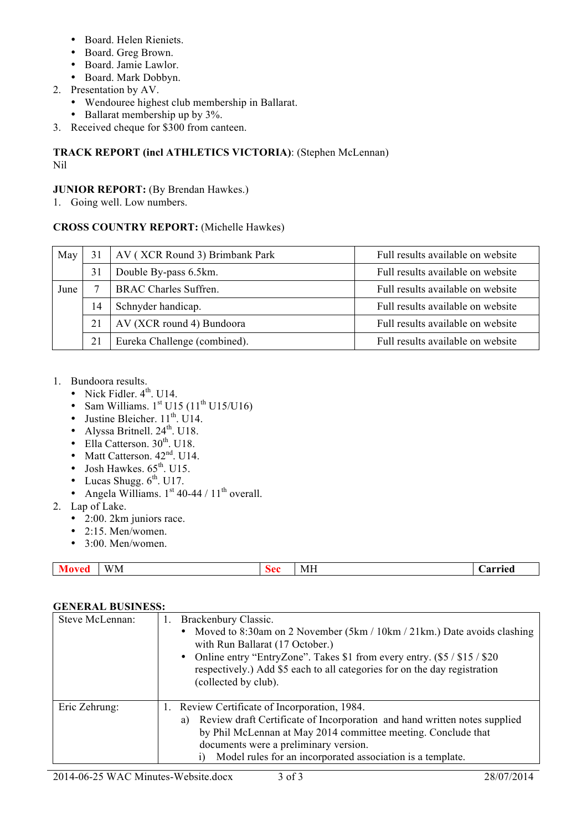- Board. Helen Rieniets.
- Board. Greg Brown.
- Board. Jamie Lawlor.
- Board. Mark Dobbyn.
- 2. Presentation by AV.
	- Wendouree highest club membership in Ballarat.
	- Ballarat membership up by  $3\%$ .
- 3. Received cheque for \$300 from canteen.

# **TRACK REPORT (incl ATHLETICS VICTORIA)**: (Stephen McLennan) Nil

# **JUNIOR REPORT:** (By Brendan Hawkes.)

1. Going well. Low numbers.

# **CROSS COUNTRY REPORT:** (Michelle Hawkes)

| May  |    | AV (XCR Round 3) Brimbank Park | Full results available on website |
|------|----|--------------------------------|-----------------------------------|
|      | 31 | Double By-pass 6.5km.          | Full results available on website |
| June |    | <b>BRAC Charles Suffren.</b>   | Full results available on website |
|      | 14 | Schnyder handicap.             | Full results available on website |
|      | 21 | AV (XCR round 4) Bundoora      | Full results available on website |
|      | 21 | Eureka Challenge (combined).   | Full results available on website |

- 1. Bundoora results.
	- Nick Fidler.  $4<sup>th</sup>$ . U14.
	- Sam Williams.  $1<sup>st</sup> U15 (11<sup>th</sup> U15/U16)$
	- Justine Bleicher.  $11^{th}$ , U14.
	- Alyssa Britnell.  $24<sup>th</sup>$ . U18.
	- Ella Catterson.  $30<sup>th</sup>$ . U18.
	- Matt Catterson.  $42<sup>nd</sup>$ . U14.
	- Josh Hawkes.  $65^{\text{th}}$ . U15.
	- Lucas Shugg.  $6^{\text{th}}$ . U17.
	- Angela Williams.  $1^{st}$  40-44 /  $11^{th}$  overall.
- 2. Lap of Lake.
	- 2:00. 2km juniors race.
	- $\bullet$  2:15. Men/women.
	- $\cdot$  3:00 Men/women

|  | ----<br>WM. | ממצ | M F |  |
|--|-------------|-----|-----|--|
|--|-------------|-----|-----|--|

## **GENERAL BUSINESS:**

| Steve McLennan: | Brackenbury Classic.<br>Ι.<br>Moved to 8:30am on 2 November (5km / 10km / 21km.) Date avoids clashing<br>with Run Ballarat (17 October.)<br>Online entry "EntryZone". Takes \$1 from every entry. (\$5/\$15/\$20)<br>$\bullet$<br>respectively.) Add \$5 each to all categories for on the day registration<br>(collected by club). |
|-----------------|-------------------------------------------------------------------------------------------------------------------------------------------------------------------------------------------------------------------------------------------------------------------------------------------------------------------------------------|
| Eric Zehrung:   | 1. Review Certificate of Incorporation, 1984.<br>Review draft Certificate of Incorporation and hand written notes supplied<br>a)<br>by Phil McLennan at May 2014 committee meeting. Conclude that<br>documents were a preliminary version.<br>Model rules for an incorporated association is a template.                            |